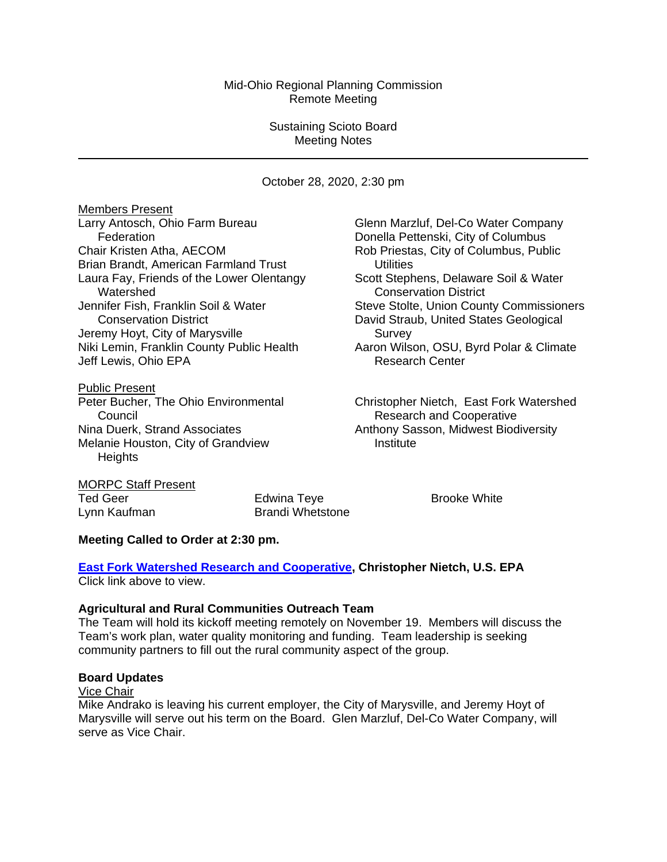# Mid-Ohio Regional Planning Commission Remote Meeting

# Sustaining Scioto Board Meeting Notes

October 28, 2020, 2:30 pm

**Members Present**<br>Larry Antosch, Ohio Farm Bureau Federation Donella Pettenski, City of Columbus Chair Kristen Atha, AECOM **Rob Priestas, City of Columbus, Public** Brian Brandt, American Farmland Trust **National Execution** Utilities Laura Fay, Friends of the Lower Olentangy Scott Stephens, Delaware Soil & Water Watershed Conservation District<br>Jennifer Fish, Franklin Soil & Water Steve Stolte, Union Coun Jeremy Hoyt, City of Marysville Survey Niki Lemin, Franklin County Public Health Aaron Wilson, OSU, Byrd Polar & Climate<br>Jeff Lewis, Ohio EPA **Access** Research Center Jeff Lewis, Ohio EPA

**Public Present**<br>Peter Bucher, The Ohio Environmental **Council Council Council Cooperative Research and Cooperative** Melanie Houston, City of Grandview **Institute Heights** 

Glenn Marzluf, Del-Co Water Company Steve Stolte, Union County Commissioners Conservation District **David Straub, United States Geological** 

Christopher Nietch, East Fork Watershed Nina Duerk, Strand Associates Anthony Sasson, Midwest Biodiversity

MORPC Staff Present Ted Geer **Edwina Teye Brooke White Edwina Teye Brooke White** Lynn Kaufman Brandi Whetstone

# **Meeting Called to Order at 2:30 pm.**

**[East Fork Watershed Research and Cooperative,](https://morpc1-my.sharepoint.com/:v:/g/personal/lkaufman_morpc_org/EfTIjZmnnoVHv3QwdXGMWsQBct3vhYnN_ft8vBg5VM7StQ?e=lji22P) Christopher Nietch, U.S. EPA** Click link above to view.

#### **Agricultural and Rural Communities Outreach Team**

The Team will hold its kickoff meeting remotely on November 19. Members will discuss the Team's work plan, water quality monitoring and funding. Team leadership is seeking community partners to fill out the rural community aspect of the group.

# **Board Updates**

#### Vice Chair

Mike Andrako is leaving his current employer, the City of Marysville, and Jeremy Hoyt of Marysville will serve out his term on the Board. Glen Marzluf, Del-Co Water Company, will serve as Vice Chair.